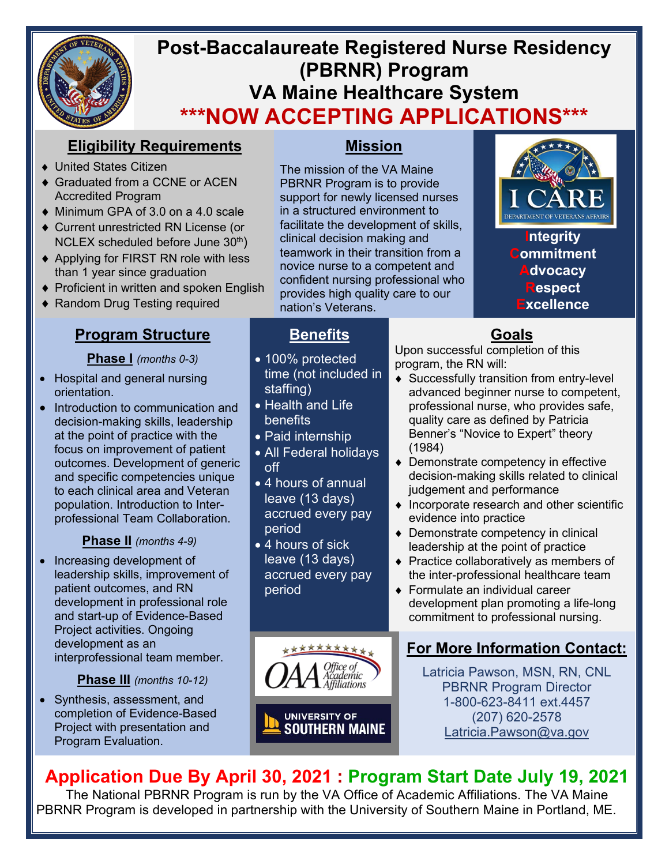

# **Post-Baccalaureate Registered Nurse Residency (PBRNR) Program VA Maine Healthcare System \*\*\*NOW ACCEPTING APPLICATIONS\*\*\***

# **Eligibility Requirements**

- ♦ United States Citizen
- ♦ Graduated from a CCNE or ACEN Accredited Program
- ♦ Minimum GPA of 3.0 on a 4.0 scale
- ♦ Current unrestricted RN License (or NCLEX scheduled before June  $30<sup>th</sup>$ )
- ♦ Applying for FIRST RN role with less than 1 year since graduation
- ♦ Proficient in written and spoken English
- ♦ Random Drug Testing required

### **Program Structure**

#### **Phase I** *(months 0-3)*

- Hospital and general nursing orientation.
- Introduction to communication and decision-making skills, leadership at the point of practice with the focus on improvement of patient outcomes. Development of generic and specific competencies unique to each clinical area and Veteran population. Introduction to Interprofessional Team Collaboration.

#### **Phase II** *(months 4-9)*

• Increasing development of leadership skills, improvement of patient outcomes, and RN development in professional role and start-up of Evidence-Based Project activities. Ongoing development as an interprofessional team member.

#### **Phase III** *(months 10-12)*

• Synthesis, assessment, and completion of Evidence-Based Project with presentation and Program Evaluation.

### **Mission**

The mission of the VA Maine PBRNR Program is to provide support for newly licensed nurses in a structured environment to facilitate the development of skills, clinical decision making and teamwork in their transition from a novice nurse to a competent and confident nursing professional who provides high quality care to our nation's Veterans.

# **Benefits**

- 100% protected time (not included in staffing)
- Health and Life **benefits**
- Paid internship
- All Federal holidays off
- 4 hours of annual leave (13 days) accrued every pay period
- 4 hours of sick leave (13 days) accrued every pay period



Upon successful completion of this program, the RN will:

- ♦ Successfully transition from entry-level advanced beginner nurse to competent, professional nurse, who provides safe, quality care as defined by Patricia Benner's "Novice to Expert" theory (1984)
- ♦ Demonstrate competency in effective decision-making skills related to clinical judgement and performance
- ♦ Incorporate research and other scientific evidence into practice
- ♦ Demonstrate competency in clinical leadership at the point of practice
- ♦ Practice collaboratively as members of the inter-professional healthcare team
- ♦ Formulate an individual career development plan promoting a life-long commitment to professional nursing.

## **For More Information Contact:**

Latricia Pawson, MSN, RN, CNL PBRNR Program Director 1-800-623-8411 ext.4457 (207) 620-2578 [Latricia.Pawson@va.gov](mailto:Latricia.Pawson@va.gov)

# **Application Due By April 30, 2021 : Program Start Date July 19, 2021**

cademic Affiliations

The National PBRNR Program is run by the VA Office of Academic Affiliations. The VA Maine PBRNR Program is developed in partnership with the University of Southern Maine in Portland, ME.

**UNIVERSITY OF SOUTHERN MAINE** 

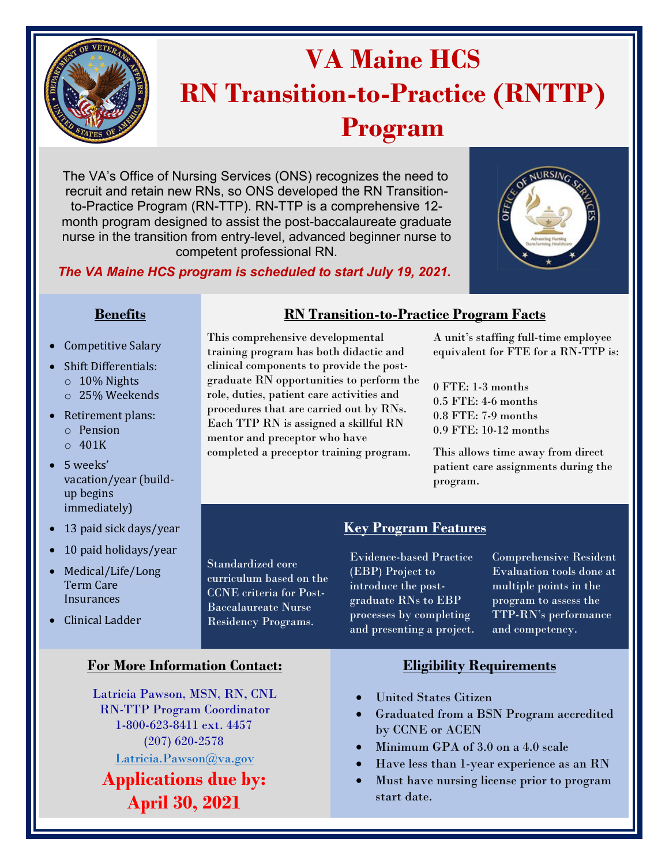

# **VA Maine HCS RN Transition-to-Practice (RNTTP) Program**

The VA's Office of Nursing Services (ONS) recognizes the need to recruit and retain new RNs, so ONS developed the RN Transitionto-Practice Program (RN-TTP). RN-TTP is a comprehensive 12 month program designed to assist the post-baccalaureate graduate nurse in the transition from entry-level, advanced beginner nurse to competent professional RN.



Standardized core curriculum based on the CCNE criteria for Post-Baccalaureate Nurse Residency Programs.



- Competitive Salary
- Shift Differentials:
	- o 10% Nights
	- o 25% Weekends
- Retirement plans:
	- o Pension
	- $\circ$  401K
- 5 weeks' vacation/year (buildup begins immediately)
- 13 paid sick days/year
- 10 paid holidays/year
- Medical/Life/Long Term Care **Insurances**
- Clinical Ladder

#### **For More Information Contact: Eligibility Requirements**

Latricia Pawson, MSN, RN, CNL RN-TTP Program Coordinator 1-800-623-8411 ext. 4457 (207) 620-2578 Latricia.Pawson@va.gov

**[Applications due by](mailto:Latricia.Pawson@va.gov): April 30, 2021**

#### **Benefits RN Transition-to-Practice Program Facts**

This comprehensive developmental training program has both didactic and clinical components to provide the postgraduate RN opportunities to perform the role, duties, patient care activities and procedures that are carried out by RNs. Each TTP RN is assigned a skillful RN mentor and preceptor who have completed a preceptor training program.

#### A unit's staffing full-time employee equivalent for FTE for a RN-TTP is:

0 FTE: 1-3 months 0.5 FTE: 4-6 months 0.8 FTE: 7-9 months 0.9 FTE: 10-12 months

This allows time away from direct patient care assignments during the program.

### **Key Program Features**

Evidence-based Practice (EBP) Project to introduce the postgraduate RNs to EBP processes by completing and presenting a project. Comprehensive Resident Evaluation tools done at multiple points in the program to assess the TTP-RN's performance and competency.

- United States Citizen
- Graduated from a BSN Program accredited by CCNE or ACEN
- Minimum GPA of 3.0 on a 4.0 scale
- Have less than 1-year experience as an RN
- Must have nursing license prior to program start date.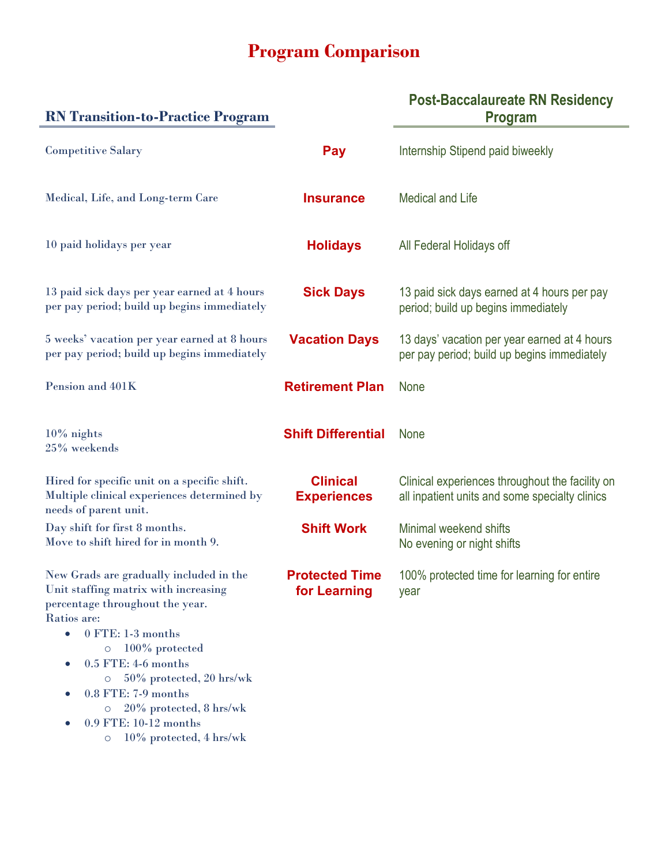# **Program Comparison**

| <b>RN</b> Transition-to-Practice Program                                                                                                                                                                                                                                                                                                                                                                               |                                       | <b>Post-Baccalaureate RN Residency</b><br><b>Program</b>                                          |
|------------------------------------------------------------------------------------------------------------------------------------------------------------------------------------------------------------------------------------------------------------------------------------------------------------------------------------------------------------------------------------------------------------------------|---------------------------------------|---------------------------------------------------------------------------------------------------|
| <b>Competitive Salary</b>                                                                                                                                                                                                                                                                                                                                                                                              | Pay                                   | Internship Stipend paid biweekly                                                                  |
| Medical, Life, and Long-term Care                                                                                                                                                                                                                                                                                                                                                                                      | <b>Insurance</b>                      | <b>Medical and Life</b>                                                                           |
| 10 paid holidays per year                                                                                                                                                                                                                                                                                                                                                                                              | <b>Holidays</b>                       | All Federal Holidays off                                                                          |
| 13 paid sick days per year earned at 4 hours<br>per pay period; build up begins immediately                                                                                                                                                                                                                                                                                                                            | <b>Sick Days</b>                      | 13 paid sick days earned at 4 hours per pay<br>period; build up begins immediately                |
| 5 weeks' vacation per year earned at 8 hours<br>per pay period; build up begins immediately                                                                                                                                                                                                                                                                                                                            | <b>Vacation Days</b>                  | 13 days' vacation per year earned at 4 hours<br>per pay period; build up begins immediately       |
| Pension and 401K                                                                                                                                                                                                                                                                                                                                                                                                       | <b>Retirement Plan</b>                | <b>None</b>                                                                                       |
| $10\%$ nights<br>25% weekends                                                                                                                                                                                                                                                                                                                                                                                          | <b>Shift Differential</b>             | <b>None</b>                                                                                       |
| Hired for specific unit on a specific shift.<br>Multiple clinical experiences determined by<br>needs of parent unit.                                                                                                                                                                                                                                                                                                   | <b>Clinical</b><br><b>Experiences</b> | Clinical experiences throughout the facility on<br>all inpatient units and some specialty clinics |
| Day shift for first 8 months.<br>Move to shift hired for in month 9.                                                                                                                                                                                                                                                                                                                                                   | <b>Shift Work</b>                     | Minimal weekend shifts<br>No evening or night shifts                                              |
| New Grads are gradually included in the<br>Unit staffing matrix with increasing<br>percentage throughout the year.<br>Ratios are:<br>$0$ FTE: 1-3 months<br>$\bullet$<br>100% protected<br>$\circ$<br>0.5 FTE: 4-6 months<br>$\bullet$<br>50% protected, 20 hrs/wk<br>$\circ$<br>0.8 FTE: 7-9 months<br>$\bullet$<br>20% protected, 8 hrs/wk<br>$\circ$<br>0.9 FTE: 10-12 months<br>10% protected, 4 hrs/wk<br>$\circ$ | <b>Protected Time</b><br>for Learning | 100% protected time for learning for entire<br>year                                               |